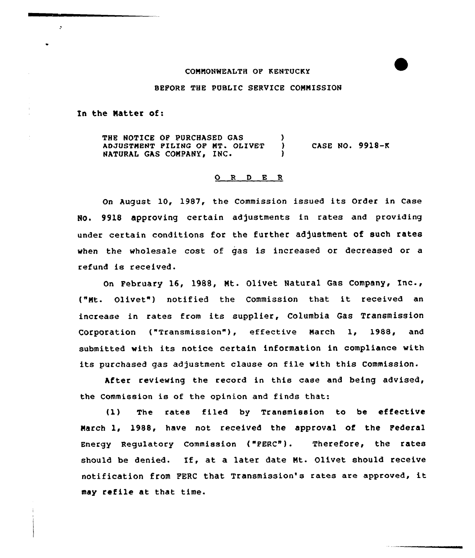## COMMONWEALTH OF KENTUCKY

BEFORE THE PUBLIC SERVICE COMNISSION

In the Natter of:

 $\cdot$ 

THE NOTICE OF PURCHASED GAS (3) ADJUSTMENT FILING OF MT. OLIVET NATURAL GAS COMPANY, INC. CASE NO. 9918-K

## O R D E R

On August 10, 1987, the Commission issued its Order in Case HO. 9918 approving certain adjustments in rates and providing under certain conditions for the further adjustment of such rates when the wholesale cost of gas is increased or decreased or a refund is received.

On February 16, 1988, Mt. Olivet Natural Gas Company, Inc., {"Nt. Olivet") notified the Commission that it received an increase in rates from its supplier, Columbia Gas Transmission Corporation ("Transmission"), effective March 1, 1988, and submitted with its notice certain information in compliance with its purchased gas adjustment clause on file with this Commission.

After reviewing the record in this case and being advised, the Commission is of the opinion and finds that:

{1) The rates filed by Transmission to be effective March 1, 1988, have not received the approval of the Federal Energy Regulatory Commission {"FERC"). Therefore, the rates should be denied. If, at <sup>a</sup> later date Mt. Olivet should receive notification from PERC that Transmission's rates are approved, it may refile at that time.